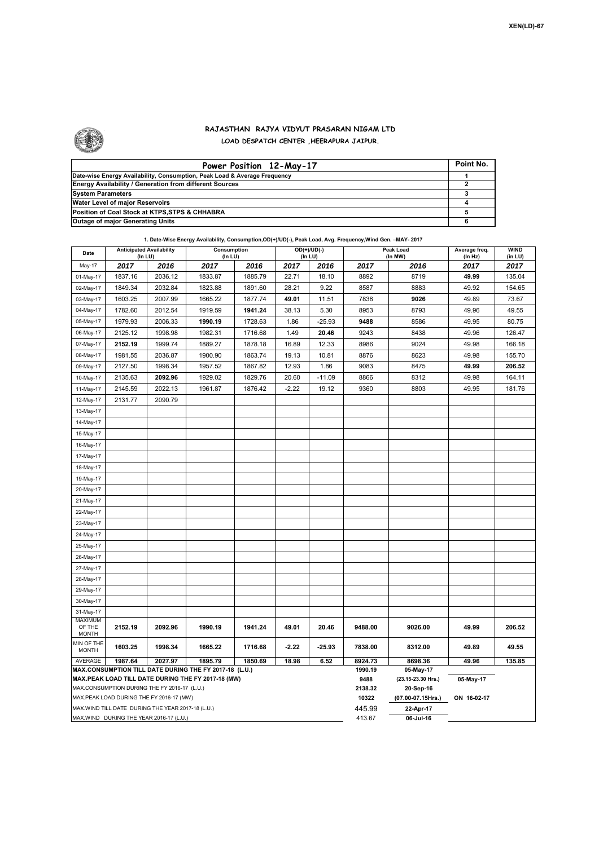

## **RAJASTHAN RAJYA VIDYUT PRASARAN NIGAM LTD**

**LOAD DESPATCH CENTER ,HEERAPURA JAIPUR.**

| Power Position 12-May-17                                                  | Point No. |
|---------------------------------------------------------------------------|-----------|
| Date-wise Energy Availability, Consumption, Peak Load & Average Frequency |           |
| <b>Energy Availability / Generation from different Sources</b>            |           |
| <b>System Parameters</b>                                                  |           |
| Water Level of major Reservoirs                                           |           |
| Position of Coal Stock at KTPS, STPS & CHHABRA                            |           |
| <b>Outage of major Generating Units</b>                                   |           |

| 1. Date-Wise Energy Availability, Consumption, OD(+)/UD(-), Peak Load, Avg. Frequency, Wind Gen. -MAY- 2017 |  |
|-------------------------------------------------------------------------------------------------------------|--|
|                                                                                                             |  |

| Date                                                                                                         | <b>Anticipated Availability</b><br>(In LU)        |         | Consumption<br>(In LU) |         |         | $OD(+)/UD(-)$<br>(In LU) |                 | Peak Load<br>(In MW)            | Average freq.<br>(In Hz) | <b>WIND</b><br>(in LU) |  |  |  |
|--------------------------------------------------------------------------------------------------------------|---------------------------------------------------|---------|------------------------|---------|---------|--------------------------|-----------------|---------------------------------|--------------------------|------------------------|--|--|--|
| May-17                                                                                                       | 2017                                              | 2016    | 2017                   | 2016    | 2017    | 2016                     | 2017            | 2016                            | 2017                     | 2017                   |  |  |  |
| 01-May-17                                                                                                    | 1837.16                                           | 2036.12 | 1833.87                | 1885.79 | 22.71   | 18.10                    | 8892            | 8719                            | 49.99                    | 135.04                 |  |  |  |
| 02-May-17                                                                                                    | 1849.34                                           | 2032.84 | 1823.88                | 1891.60 | 28.21   | 9.22                     | 8587            | 8883                            | 49.92                    | 154.65                 |  |  |  |
| 03-May-17                                                                                                    | 1603.25                                           | 2007.99 | 1665.22                | 1877.74 | 49.01   | 11.51                    | 7838            | 9026                            | 49.89                    | 73.67                  |  |  |  |
| 04-May-17                                                                                                    | 1782.60                                           | 2012.54 | 1919.59                | 1941.24 | 38.13   | 5.30                     | 8953            | 8793                            | 49.96                    | 49.55                  |  |  |  |
| 05-May-17                                                                                                    | 1979.93                                           | 2006.33 | 1990.19                | 1728.63 | 1.86    | $-25.93$                 | 9488            | 8586                            | 49.95                    | 80.75                  |  |  |  |
| 06-May-17                                                                                                    | 2125.12                                           | 1998.98 | 1982.31                | 1716.68 | 1.49    | 20.46                    | 9243            | 8438                            | 49.96                    | 126.47                 |  |  |  |
| 07-May-17                                                                                                    | 2152.19                                           | 1999.74 | 1889.27                | 1878.18 | 16.89   | 12.33                    | 8986            | 9024                            | 49.98                    | 166.18                 |  |  |  |
| 08-May-17                                                                                                    | 1981.55                                           | 2036.87 | 1900.90                | 1863.74 | 19.13   | 10.81                    | 8876            | 8623                            | 49.98                    | 155.70                 |  |  |  |
| 09-May-17                                                                                                    | 2127.50                                           | 1998.34 | 1957.52                | 1867.82 | 12.93   | 1.86                     | 9083            | 8475                            | 49.99                    | 206.52                 |  |  |  |
| 10-May-17                                                                                                    | 2135.63                                           | 2092.96 | 1929.02                | 1829.76 | 20.60   | $-11.09$                 | 8866            | 8312                            | 49.98                    | 164.11                 |  |  |  |
| 11-May-17                                                                                                    | 2145.59                                           | 2022.13 | 1961.87                | 1876.42 | $-2.22$ | 19.12                    | 9360            | 8803                            | 49.95                    | 181.76                 |  |  |  |
| 12-May-17                                                                                                    | 2131.77                                           | 2090.79 |                        |         |         |                          |                 |                                 |                          |                        |  |  |  |
| 13-May-17                                                                                                    |                                                   |         |                        |         |         |                          |                 |                                 |                          |                        |  |  |  |
| 14-May-17                                                                                                    |                                                   |         |                        |         |         |                          |                 |                                 |                          |                        |  |  |  |
| 15-May-17                                                                                                    |                                                   |         |                        |         |         |                          |                 |                                 |                          |                        |  |  |  |
| 16-May-17                                                                                                    |                                                   |         |                        |         |         |                          |                 |                                 |                          |                        |  |  |  |
| 17-May-17                                                                                                    |                                                   |         |                        |         |         |                          |                 |                                 |                          |                        |  |  |  |
| 18-May-17                                                                                                    |                                                   |         |                        |         |         |                          |                 |                                 |                          |                        |  |  |  |
| 19-May-17                                                                                                    |                                                   |         |                        |         |         |                          |                 |                                 |                          |                        |  |  |  |
| 20-May-17                                                                                                    |                                                   |         |                        |         |         |                          |                 |                                 |                          |                        |  |  |  |
| 21-May-17                                                                                                    |                                                   |         |                        |         |         |                          |                 |                                 |                          |                        |  |  |  |
| 22-May-17                                                                                                    |                                                   |         |                        |         |         |                          |                 |                                 |                          |                        |  |  |  |
| 23-May-17                                                                                                    |                                                   |         |                        |         |         |                          |                 |                                 |                          |                        |  |  |  |
| 24-May-17                                                                                                    |                                                   |         |                        |         |         |                          |                 |                                 |                          |                        |  |  |  |
| 25-May-17                                                                                                    |                                                   |         |                        |         |         |                          |                 |                                 |                          |                        |  |  |  |
| 26-May-17                                                                                                    |                                                   |         |                        |         |         |                          |                 |                                 |                          |                        |  |  |  |
| 27-May-17                                                                                                    |                                                   |         |                        |         |         |                          |                 |                                 |                          |                        |  |  |  |
| 28-May-17                                                                                                    |                                                   |         |                        |         |         |                          |                 |                                 |                          |                        |  |  |  |
| 29-May-17                                                                                                    |                                                   |         |                        |         |         |                          |                 |                                 |                          |                        |  |  |  |
| 30-May-17                                                                                                    |                                                   |         |                        |         |         |                          |                 |                                 |                          |                        |  |  |  |
| 31-May-17                                                                                                    |                                                   |         |                        |         |         |                          |                 |                                 |                          |                        |  |  |  |
| <b>MAXIMUM</b><br>OF THE                                                                                     | 2152.19                                           | 2092.96 | 1990.19                | 1941.24 | 49.01   | 20.46                    | 9488.00         | 9026.00                         | 49.99                    | 206.52                 |  |  |  |
| <b>MONTH</b>                                                                                                 |                                                   |         |                        |         |         |                          |                 |                                 |                          |                        |  |  |  |
| MIN OF THE<br><b>MONTH</b>                                                                                   | 1603.25                                           | 1998.34 | 1665.22                | 1716.68 | $-2.22$ | $-25.93$                 | 7838.00         | 8312.00                         | 49.89                    | 49.55                  |  |  |  |
| AVERAGE                                                                                                      | 1987.64                                           | 2027.97 | 1895.79                | 1850.69 | 18.98   | 6.52                     | 8924.73         | 8698.36                         | 49.96                    | 135.85                 |  |  |  |
| MAX.CONSUMPTION TILL DATE DURING THE FY 2017-18 (L.U.)<br>MAX.PEAK LOAD TILL DATE DURING THE FY 2017-18 (MW) |                                                   |         |                        |         |         |                          | 1990.19<br>9488 | 05-May-17<br>(23.15-23.30 Hrs.) | 05-May-17                |                        |  |  |  |
|                                                                                                              | MAX.CONSUMPTION DURING THE FY 2016-17 (L.U.)      |         |                        |         |         |                          | 2138.32         | 20-Sep-16                       |                          |                        |  |  |  |
|                                                                                                              | MAX.PEAK LOAD DURING THE FY 2016-17 (MW)          |         |                        |         |         |                          | 10322           | (07.00-07.15Hrs.)               | ON 16-02-17              |                        |  |  |  |
|                                                                                                              | MAX.WIND TILL DATE DURING THE YEAR 2017-18 (L.U.) |         |                        |         |         |                          | 445.99          | 22-Apr-17                       |                          |                        |  |  |  |
|                                                                                                              | MAX.WIND DURING THE YEAR 2016-17 (L.U.)           |         |                        |         |         |                          |                 | 06-Jul-16                       |                          |                        |  |  |  |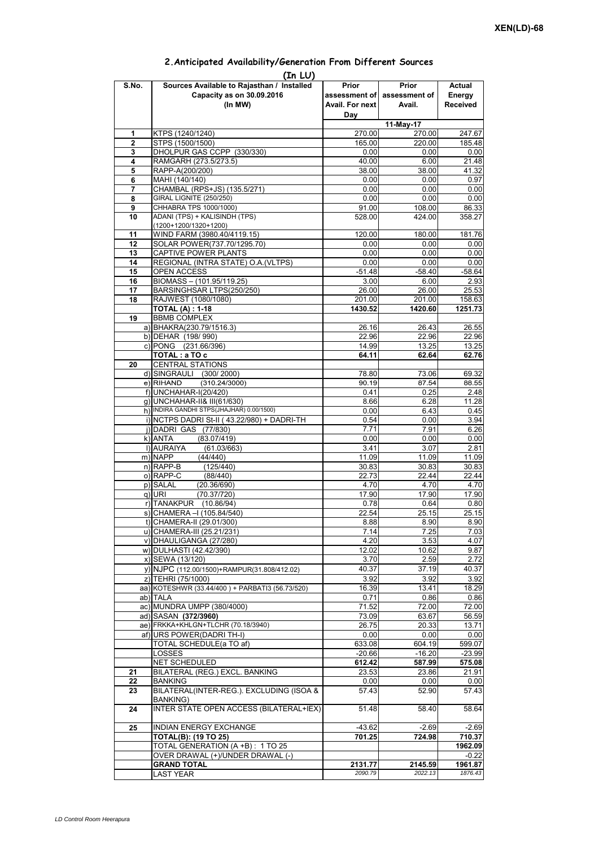## **Prior assessment of Avail. For next Day Prior assessment of Avail. Actual Energy Received 1** KTPS (1240/1240) 270.00 270.00 247.67 **2** STPS (1500/1500) 165.00 **165.00** 165.00 **165.48 3** DHOLPUR GAS CCPP (330/330) 0.00 0.00 0.00<br>4 RAMGARH (273.5/273.5) 40.00 6.00 21.48 **40.00** 6.00 21.48<br>**RAPP-A(200/200)** 41.32<br>**RAPP-A(200/200)** 38.00 38.00 41.32 **5** RAPP-A(200/200) **38.00** 38.00 38.00 41.32<br>**6** MAHI (140/140) 0.00 0.07 0.97 **6** MAHI (140/140) **7** CHAMBAL (RPS+JS) (135.5/271) 0.00 0.00 0.00 0.00 **8** GIRAL LIGNITE (250/250) 0.00 0.00 0.00 **9** CHHABRA TPS 1000/1000) **108.00** 91.00 108.00 86.33 **10** ADANI (TPS) + KALISINDH (TPS) (1200+1200/1320+1200) 528.00 424.00 358.27 11 | WIND FARM (3980.40/4119.15) 120.00 **180.00** 181.76 12 SOLAR POWER(737.70/1295.70) 0.00 0.00 0.00 0.00 **13** CAPTIVE POWER PLANTS  $\begin{bmatrix} 0.00 \\ 0.00 \end{bmatrix}$  0.00 0.00 0.00 **14** REGIONAL (INTRA STATE) O.A. (VLTPS) 0.00 0.00 0.00 0.00 0.00 0.00<br>**15** OPEN ACCESS **15** 0.00 0.00 0.00 0.00 0.00 0.00 **156 OPEN ACCESS 2012 12:58:04** -58.640 -58.640 -58.640 -58.640 -58.640 -58.640 -58.640 -58.640 -58.640 -58.640 -58.640 -58.640 -58.640 -58.640 -58.640 - 58.640 - 58.640 - 58.640 - 58.640 - 58.640 - 58.640 - 58.640 - 58.64 16 BIOMASS – (101.95/119.25)<br>
17 BARSINGHSAR LTPS(250/250) 3.00 26.00 26.00 25.53 17 BARSINGHSAR LTPS(250/250) 26.00 26.00 26.00 **18** RAJWEST (1080/1080) 201.00 201.00 158.63 **TOTAL (A) : 1-18 1430.52 1420.60 1251.73** 19 **BBMB COMPLEX** a) BHAKRA(230.79/1516.3) 26.16 26.16 26.43 26.55<br>b) DEHAR (198/990) 22.96 22.96 22.96 22.96 b) DEHAR (198/ 990) 22.96 c) PONG (231.66/396) 14.99 14.99 13.25 13.25 **TOTAL : a TO c** 62.76 **20** CENTRAL STATIONS d) SINGRAULI (300/ 2000) 78.80 73.06 69.32 e) RIHAND (310.24/3000) 90.19 87.54 88.55<br>1 DIUNCHAHAR-I(20/420) 90.41 0.25 2.48 **(In LU) S.No. Sources Available to Rajasthan / Installed Capacity as on 30.09.2016 (In MW) 11-May-17**  $f$ UNCHAHAR-I(20/420) g) UNCHAHAR-II& III(61/630) 8.66 6.28 11.28 h) INDIRA GANDHI STPS(JHAJHAR) 0.00/1500) 0.00 0.00 6.43 0.45 i) NCTPS DADRI St-II (43.22/980) + DADRI-TH 0.54 0.00 3.94<br>i) DADRI GAS (77/830) 0.26 j) DADRI GAS (77/830) 7.71 7.71 7.91 6.26 k) ANTA (83.07/419) 0.00 0.00 0.00 l) AURAIYA (61.03/663) 3.41 3.07 2.81<br>m) NAPP (44/440) 11.09 11.09 11.09 m) NAPP (44/440) 11.09 11.09 11.09 n) RAPP-B (125/440) 30.83 30.83 30.83 o) RAPP-C (88/440) 22.73 22.44 22.44 p) SALAL (20.36/690) 4.70 4.70 4.70 q) URI (70.37/720) 17.90 17.90 17.90 r) TANAKPUR (10.86/94) 0.78 0.78 0.64 0.80<br>s) CHAMERA – (105.84/540) 22.54 25.15 25.15 s) CHAMERA –I (105.84/540) 22.54 25.15 25.15 25.15 25.15 25.15 25.15 25.15 25.15 25.15 25.15 25.15 25.15 25.15  $t)$  CHAMERA-II (29.01/300) u) CHAMERA-III (25.21/231) 7.14 7.25 7.03 v) DHAULIGANGA (27/280) 4.20 3.53 4.07 w) DULHASTI (42.42/390) 12.02 10.62 9.87 x) SEWA (13/120) 3.70 2.72<br>v) N.IPC (112.00/1500) + RAMPLIR(31.808/412.02) 40.37 37.19 40.37 y) NJPC (112.00/1500)+RAMPUR(31.808/412.02) 40.37 40.37 37.19 40.37<br>z) TEHRI (75/1000) 3.92 3.92 3.92  $Z$ ) TEHRI $(75/1000)$ aa) KOTESHWR (33.44/400 ) + PARBATI3 (56.73/520) 16.39 13.41 13.29<br>ab) TALA 0.86 0.86 0.86 ab) TALA 0.71 0.86 0.86 ac) MUNDRA UMPP (380/4000) 71.52 72.00 72.00 ad) SASAN **(372/3960) 63.67 63.67 63.67 63.67** ae) FRKKA+KHLGN+TLCHR (70.18/3940) 26.75 20.33 13.71 af) URS POWER(DADRI TH-I)  $\begin{array}{|l|c|c|c|c|c|}\hline \text{a$f)} \text{URS} & \text{POWER}(\text{DADRI TH-I}) & \text{O.00} & \text{O.00} & \text{O.00} & \text{O.00} \ \hline \text{10TAL SCHEDULE(a TO af)} & & & & & & \text{633.08} & \text{604.19} & \text{599.07} \end{array}$ TOTAL SCHEDULE(a TO af) LOSSES -20.66 -16.20 -23.99 NET SCHEDULED **612.42 587.99 575.08 21 BILATERAL (REG.) EXCL. BANKING 23.53 23.86 22** BANKING 0.00 0.00 0.00 0.00 **23** BILATERAL(INTER-REG.). EXCLUDING (ISOA & BANKING) 57.43 52.90 57.43 **24 INTER STATE OPEN ACCESS (BILATERAL+IEX) 51.48 58.40 58.64 25** INDIAN ENERGY EXCHANGE 43.62 -2.69 -2.69 **TOTAL(B): (19 TO 25) 701.25 724.98 710.37** TOTAL GENERATION (A +B) : 1 TO 25 **1962.09** OVER DRAWAL (+)/UNDER DRAWAL (-) 1999 10:22<br>131.77 2145.59 1961.87 2131.77 2014 **GRAND TOTAL 2131.77 2145.59 1961.87**<br>LAST YEAR 2090.79 2022.13 1876.43 LAST YEAR *2090.79 2022.13 1876.43*

## **2.Anticipated Availability/Generation From Different Sources**